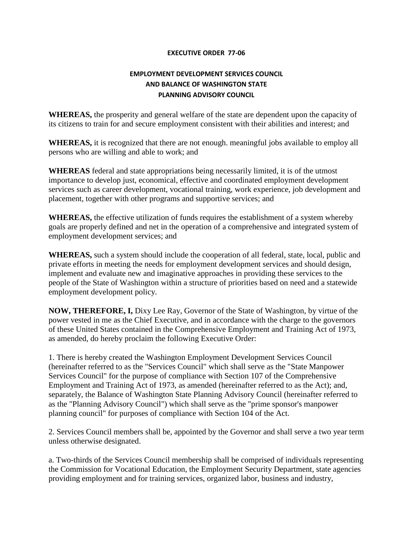## **EXECUTIVE ORDER 77-06**

## **EMPLOYMENT DEVELOPMENT SERVICES COUNCIL AND BALANCE OF WASHINGTON STATE PLANNING ADVISORY COUNCIL**

**WHEREAS,** the prosperity and general welfare of the state are dependent upon the capacity of its citizens to train for and secure employment consistent with their abilities and interest; and

**WHEREAS,** it is recognized that there are not enough. meaningful jobs available to employ all persons who are willing and able to work; and

**WHEREAS** federal and state appropriations being necessarily limited, it is of the utmost importance to develop just, economical, effective and coordinated employment development services such as career development, vocational training, work experience, job development and placement, together with other programs and supportive services; and

**WHEREAS,** the effective utilization of funds requires the establishment of a system whereby goals are properly defined and net in the operation of a comprehensive and integrated system of employment development services; and

**WHEREAS,** such a system should include the cooperation of all federal, state, local, public and private efforts in meeting the needs for employment development services and should design, implement and evaluate new and imaginative approaches in providing these services to the people of the State of Washington within a structure of priorities based on need and a statewide employment development policy.

**NOW, THEREFORE, I,** Dixy Lee Ray, Governor of the State of Washington, by virtue of the power vested in me as the Chief Executive, and in accordance with the charge to the governors of these United States contained in the Comprehensive Employment and Training Act of 1973, as amended, do hereby proclaim the following Executive Order:

1. There is hereby created the Washington Employment Development Services Council (hereinafter referred to as the "Services Council" which shall serve as the "State Manpower Services Council" for the purpose of compliance with Section 107 of the Comprehensive Employment and Training Act of 1973, as amended (hereinafter referred to as the Act); and, separately, the Balance of Washington State Planning Advisory Council (hereinafter referred to as the "Planning Advisory Council") which shall serve as the "prime sponsor's manpower planning council" for purposes of compliance with Section 104 of the Act.

2. Services Council members shall be, appointed by the Governor and shall serve a two year term unless otherwise designated.

a. Two-thirds of the Services Council membership shall be comprised of individuals representing the Commission for Vocational Education, the Employment Security Department, state agencies providing employment and for training services, organized labor, business and industry,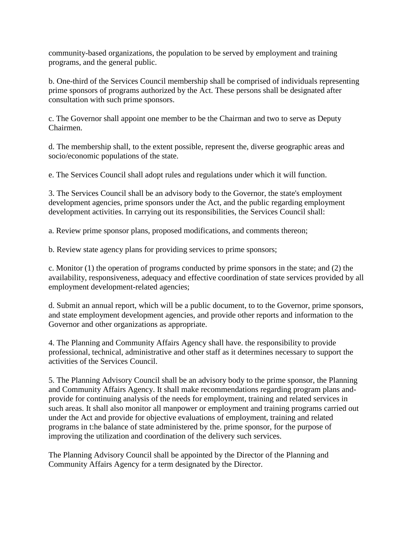community-based organizations, the population to be served by employment and training programs, and the general public.

b. One-third of the Services Council membership shall be comprised of individuals representing prime sponsors of programs authorized by the Act. These persons shall be designated after consultation with such prime sponsors.

c. The Governor shall appoint one member to be the Chairman and two to serve as Deputy Chairmen.

d. The membership shall, to the extent possible, represent the, diverse geographic areas and socio/economic populations of the state.

e. The Services Council shall adopt rules and regulations under which it will function.

3. The Services Council shall be an advisory body to the Governor, the state's employment development agencies, prime sponsors under the Act, and the public regarding employment development activities. In carrying out its responsibilities, the Services Council shall:

a. Review prime sponsor plans, proposed modifications, and comments thereon;

b. Review state agency plans for providing services to prime sponsors;

c. Monitor (1) the operation of programs conducted by prime sponsors in the state; and (2) the availability, responsiveness, adequacy and effective coordination of state services provided by all employment development-related agencies;

d. Submit an annual report, which will be a public document, to to the Governor, prime sponsors, and state employment development agencies, and provide other reports and information to the Governor and other organizations as appropriate.

4. The Planning and Community Affairs Agency shall have. the responsibility to provide professional, technical, administrative and other staff as it determines necessary to support the activities of the Services Council.

5. The Planning Advisory Council shall be an advisory body to the prime sponsor, the Planning and Community Affairs Agency. It shall make recommendations regarding program plans andprovide for continuing analysis of the needs for employment, training and related services in such areas. It shall also monitor all manpower or employment and training programs carried out under the Act and provide for objective evaluations of employment, training and related programs in t:he balance of state administered by the. prime sponsor, for the purpose of improving the utilization and coordination of the delivery such services.

The Planning Advisory Council shall be appointed by the Director of the Planning and Community Affairs Agency for a term designated by the Director.